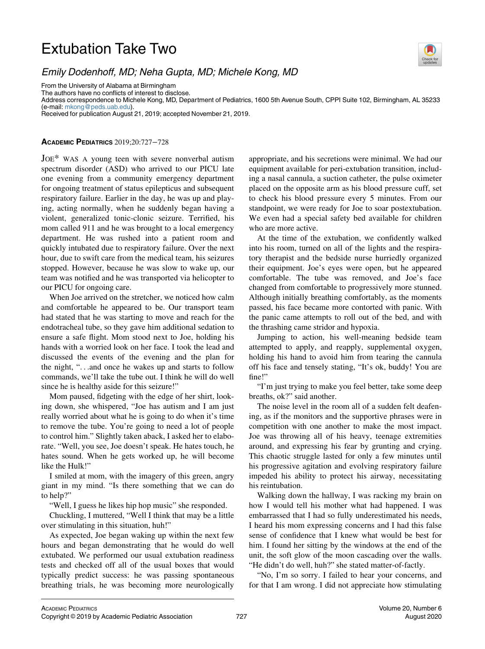## Extubation Take Two



## Emily Dodenhoff, MD; Neha Gupta, MD; Michele Kong, MD

From the University of Alabama at Birmingham

The authors have no conflicts of interest to disclose.

Address correspondence to Michele Kong, MD, Department of Pediatrics, 1600 5th Avenue South, CPPI Suite 102, Birmingham, AL 35233 (e-mail: [mkong@peds.uab.edu](mailto:mkong@peds.uab.edu)). Received for publication August 21, 2019; accepted November 21, 2019.

## ACADEMIC PEDIATRICS 2019;20:727−728

JOE\* WAS A young teen with severe nonverbal autism spectrum disorder (ASD) who arrived to our PICU late one evening from a community emergency department for ongoing treatment of status epilepticus and subsequent respiratory failure. Earlier in the day, he was up and playing, acting normally, when he suddenly began having a violent, generalized tonic-clonic seizure. Terrified, his mom called 911 and he was brought to a local emergency department. He was rushed into a patient room and quickly intubated due to respiratory failure. Over the next hour, due to swift care from the medical team, his seizures stopped. However, because he was slow to wake up, our team was notified and he was transported via helicopter to our PICU for ongoing care.

When Joe arrived on the stretcher, we noticed how calm and comfortable he appeared to be. Our transport team had stated that he was starting to move and reach for the endotracheal tube, so they gave him additional sedation to ensure a safe flight. Mom stood next to Joe, holding his hands with a worried look on her face. I took the lead and discussed the events of the evening and the plan for the night, "...and once he wakes up and starts to follow commands, we'll take the tube out. I think he will do well since he is healthy aside for this seizure!"

Mom paused, fidgeting with the edge of her shirt, looking down, she whispered, "Joe has autism and I am just really worried about what he is going to do when it's time to remove the tube. You're going to need a lot of people to control him." Slightly taken aback, I asked her to elaborate. "Well, you see, Joe doesn't speak. He hates touch, he hates sound. When he gets worked up, he will become like the Hulk!"

I smiled at mom, with the imagery of this green, angry giant in my mind. "Is there something that we can do to help?"

"Well, I guess he likes hip hop music" she responded.

Chuckling, I muttered, "Well I think that may be a little over stimulating in this situation, huh!"

As expected, Joe began waking up within the next few hours and began demonstrating that he would do well extubated. We performed our usual extubation readiness tests and checked off all of the usual boxes that would typically predict success: he was passing spontaneous breathing trials, he was becoming more neurologically appropriate, and his secretions were minimal. We had our equipment available for peri-extubation transition, including a nasal cannula, a suction catheter, the pulse oximeter placed on the opposite arm as his blood pressure cuff, set to check his blood pressure every 5 minutes. From our standpoint, we were ready for Joe to soar postextubation. We even had a special safety bed available for children who are more active.

At the time of the extubation, we confidently walked into his room, turned on all of the lights and the respiratory therapist and the bedside nurse hurriedly organized their equipment. Joe's eyes were open, but he appeared comfortable. The tube was removed, and Joe's face changed from comfortable to progressively more stunned. Although initially breathing comfortably, as the moments passed, his face became more contorted with panic. With the panic came attempts to roll out of the bed, and with the thrashing came stridor and hypoxia.

Jumping to action, his well-meaning bedside team attempted to apply, and reapply, supplemental oxygen, holding his hand to avoid him from tearing the cannula off his face and tensely stating, "It's ok, buddy! You are fine!"

"I'm just trying to make you feel better, take some deep breaths, ok?" said another.

The noise level in the room all of a sudden felt deafening, as if the monitors and the supportive phrases were in competition with one another to make the most impact. Joe was throwing all of his heavy, teenage extremities around, and expressing his fear by grunting and crying. This chaotic struggle lasted for only a few minutes until his progressive agitation and evolving respiratory failure impeded his ability to protect his airway, necessitating his reintubation.

Walking down the hallway, I was racking my brain on how I would tell his mother what had happened. I was embarrassed that I had so fully underestimated his needs, I heard his mom expressing concerns and I had this false sense of confidence that I knew what would be best for him. I found her sitting by the windows at the end of the unit, the soft glow of the moon cascading over the walls. "He didn't do well, huh?" she stated matter-of-factly.

"No, I'm so sorry. I failed to hear your concerns, and for that I am wrong. I did not appreciate how stimulating